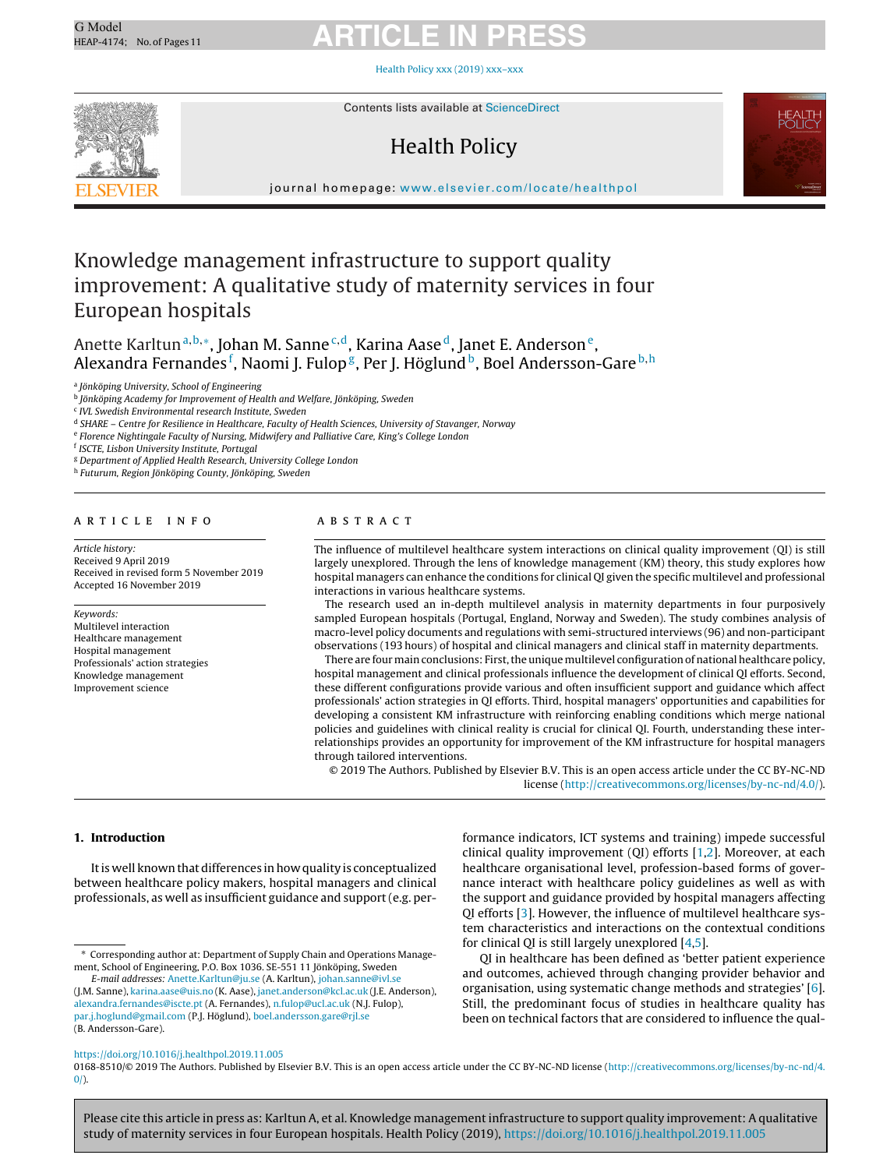Health Policy xxx (2019) [xxx–xxx](https://doi.org/10.1016/j.healthpol.2019.11.005)



Contents lists available at [ScienceDirect](http://www.sciencedirect.com/science/journal/01688510)

### Health Policy



journal homepage: [www.elsevier.com/locate/healthpol](http://www.elsevier.com/locate/healthpol)

### Knowledge management infrastructure to support quality improvement: A qualitative study of maternity services in four European hospitals

Anette Karltun<sup>a, b,</sup>\*, Johan M. Sanne<sup>c, d</sup>, Karina Aase<sup>d</sup>, Janet E. Anderson<sup>e</sup>, Alexandra Fernandes <sup>f</sup>, Naomi J. Fulop <sup>g</sup>, Per J. Höglund <sup>b</sup>, Boel Andersson-Gare <sup>b, h</sup>

<sup>a</sup> Jönköping University, School of Engineering

<sup>b</sup> Jönköping Academy for Improvement of Health and Welfare, Jönköping, Sweden

<sup>c</sup> IVL Swedish Environmental research Institute, Sweden

<sup>d</sup> SHARE – Centre for Resilience in Healthcare, Faculty of Health Sciences, University of Stavanger, Norway

<sup>e</sup> Florence Nightingale Faculty of Nursing, Midwifery and Palliative Care, King's College London

<sup>f</sup> ISCTE, Lisbon University Institute, Portugal

<sup>g</sup> Department of Applied Health Research, University College London

<sup>h</sup> Futurum, Region Jönköping County, Jönköping, Sweden

#### ARTICLE INFO

Article history: Received 9 April 2019 Received in revised form 5 November 2019 Accepted 16 November 2019

Keywords: Multilevel interaction Healthcare management Hospital management Professionals' action strategies Knowledge management Improvement science

#### a b s t r a c t

The influence of multilevel healthcare system interactions on clinical quality improvement (QI) is still largely unexplored. Through the lens of knowledge management (KM) theory, this study explores how hospital managers can enhance the conditions for clinical QI given the specific multilevel and professional interactions in various healthcare systems.

The research used an in-depth multilevel analysis in maternity departments in four purposively sampled European hospitals (Portugal, England, Norway and Sweden). The study combines analysis of macro-level policy documents and regulations with semi-structured interviews (96) and non-participant observations (193 hours) of hospital and clinical managers and clinical staff in maternity departments.

There are four main conclusions: First, the unique multilevel configuration of national healthcare policy, hospital management and clinical professionals influence the development of clinical QI efforts. Second, these different configurations provide various and often insufficient support and guidance which affect professionals' action strategies in QI efforts. Third, hospital managers' opportunities and capabilities for developing a consistent KM infrastructure with reinforcing enabling conditions which merge national policies and guidelines with clinical reality is crucial for clinical QI. Fourth, understanding these interrelationships provides an opportunity for improvement of the KM infrastructure for hospital managers through tailored interventions.

© 2019 The Authors. Published by Elsevier B.V. This is an open access article under the CC BY-NC-ND license [\(http://creativecommons.org/licenses/by-nc-nd/4.0/](http://creativecommons.org/licenses/by-nc-nd/4.0/)).

#### **1. Introduction**

Itis well knownthatdifferences inhow quality is conceptualized between healthcare policy makers, hospital managers and clinical professionals, as well as insufficient guidance and support(e.g. per-

E-mail addresses: [Anette.Karltun@ju.se](mailto:Anette.Karltun@ju.se) (A. Karltun), [johan.sanne@ivl.se](mailto:johan.sanne@ivl.se) (J.M. Sanne), [karina.aase@uis.no](mailto:karina.aase@uis.no) (K. Aase), [janet.anderson@kcl.ac.uk](mailto:janet.anderson@kcl.ac.uk) (J.E. Anderson), [alexandra.fernandes@iscte.pt](mailto:alexandra.fernandes@iscte.pt) (A. Fernandes), [n.fulop@ucl.ac.uk](mailto:n.fulop@ucl.ac.uk) (N.J. Fulop), [par.j.hoglund@gmail.com](mailto:par.j.hoglund@gmail.com) (P.J. Höglund), [boel.andersson.gare@rjl.se](mailto:boel.andersson.gare@rjl.se) (B. Andersson-Gare).

formance indicators, ICT systems and training) impede successful clinical quality improvement (QI) efforts [[1,2\].](#page-10-0) Moreover, at each healthcare organisational level, profession-based forms of governance interact with healthcare policy guidelines as well as with the support and guidance provided by hospital managers affecting QI efforts [[3\].](#page-10-0) However, the influence of multilevel healthcare system characteristics and interactions on the contextual conditions for clinical QI is still largely unexplored [[4,5\].](#page-10-0)

QI in healthcare has been defined as 'better patient experience and outcomes, achieved through changing provider behavior and organisation, using systematic change methods and strategies' [\[6\].](#page-10-0) Still, the predominant focus of studies in healthcare quality has been on technical factors that are considered to influence the qual-

#### <https://doi.org/10.1016/j.healthpol.2019.11.005>

0168-8510/© 2019 The Authors. Published by Elsevier B.V. This is an open access article under the CC BY-NC-ND license [\(http://creativecommons.org/licenses/by-nc-nd/4.](http://creativecommons.org/licenses/by-nc-nd/4.0/)  $0/$ ).

<sup>∗</sup> Corresponding author at: Department of Supply Chain and Operations Management, School of Engineering, P.O. Box 1036. SE-551 11 Jönköping, Sweden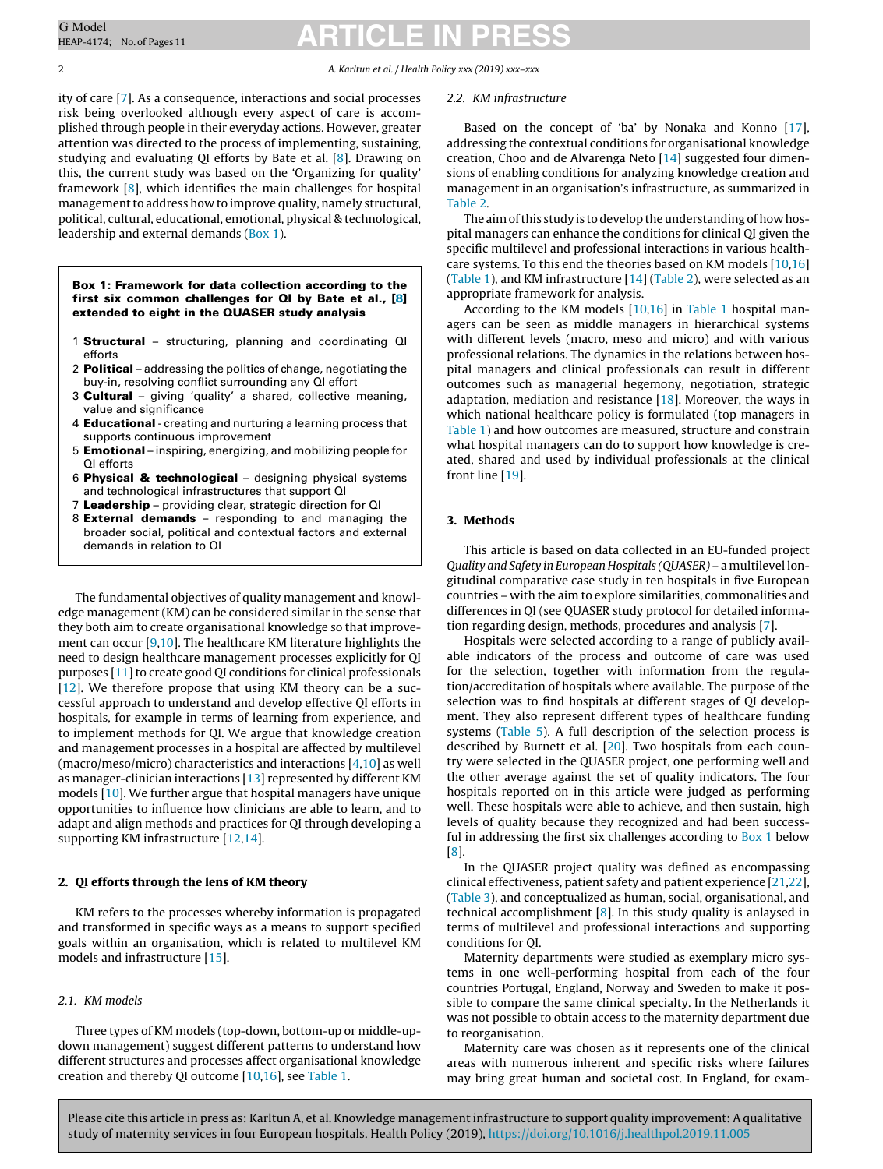2 A. Karltun et al. / Health Policy xxx (2019) xxx–xxx

ity of care [\[7\].](#page-10-0) As a consequence, interactions and social processes risk being overlooked although every aspect of care is accomplished through people in their everyday actions. However, greater attention was directed to the process of implementing, sustaining, studying and evaluating QI efforts by Bate et al. [\[8\].](#page-10-0) Drawing on this, the current study was based on the 'Organizing for quality' framework [\[8\],](#page-10-0) which identifies the main challenges for hospital management to address how to improve quality, namely structural, political, cultural, educational, emotional, physical & technological, leadership and external demands (Box 1).

**Box 1: Framework for data collection according to the first six common challenges for QI by Bate et al., [[8\]](#page-10-0) extended to eight in the QUASER study analysis**

- 1 **Structural** structuring, planning and coordinating QI efforts
- 2 **Political** addressing the politics of change, negotiating the buy-in, resolving conflict surrounding any QI effort
- 3 **Cultural** giving 'quality' a shared, collective meaning, value and significance
- 4 **Educational** creating and nurturing a learning process that supports continuous improvement
- 5 **Emotional** inspiring, energizing, and mobilizing people for QI efforts
- 6 **Physical & technological** designing physical systems and technological infrastructures that support QI
- 7 **Leadership** providing clear, strategic direction for QI
- 8 **External demands** responding to and managing the broader social, political and contextual factors and external demands in relation to QI

The fundamental objectives of quality management and knowledge management (KM) can be considered similar in the sense that they both aim to create organisational knowledge so that improvement can occur [[9,10\].](#page-10-0) The healthcare KM literature highlights the need to design healthcare management processes explicitly for QI purposes [\[11\]](#page-10-0) to create good QI conditions for clinical professionals [[12\].](#page-10-0) We therefore propose that using KM theory can be a successful approach to understand and develop effective QI efforts in hospitals, for example in terms of learning from experience, and to implement methods for QI. We argue that knowledge creation and management processes in a hospital are affected by multilevel (macro/meso/micro) characteristics and interactions [\[4,10\]](#page-10-0) as well as manager-clinician interactions [[13\]](#page-10-0) represented by different KM models [[10\].](#page-10-0) We further argue that hospital managers have unique opportunities to influence how clinicians are able to learn, and to adapt and align methods and practices for QI through developing a supporting KM infrastructure [[12,14\].](#page-10-0)

#### **2. QI efforts through the lens of KM theory**

KM refers to the processes whereby information is propagated and transformed in specific ways as a means to support specified goals within an organisation, which is related to multilevel KM models and infrastructure [\[15\].](#page-10-0)

#### 2.1. KM models

Three types of KM models (top-down, bottom-up or middle-updown management) suggest different patterns to understand how different structures and processes affect organisational knowledge creation and thereby QI outcome [\[10,16\],](#page-10-0) see [Table](#page-2-0) 1.

#### 2.2. KM infrastructure

Based on the concept of 'ba' by Nonaka and Konno [\[17\],](#page-10-0) addressing the contextual conditions for organisational knowledge creation, Choo and de Alvarenga Neto [\[14\]](#page-10-0) suggested four dimensions of enabling conditions for analyzing knowledge creation and management in an organisation's infrastructure, as summarized in [Table](#page-2-0) 2.

The aim of this study is to develop the understanding of how hospital managers can enhance the conditions for clinical QI given the specific multilevel and professional interactions in various healthcare systems. To this end the theories based on KM models [[10,16\]](#page-10-0) [\(Table](#page-2-0) 1), and KM infrastructure [[14\]](#page-10-0) (Table 2), were selected as an appropriate framework for analysis.

According to the KM models [\[10,16\]](#page-10-0) in [Table](#page-2-0) 1 hospital managers can be seen as middle managers in hierarchical systems with different levels (macro, meso and micro) and with various professional relations. The dynamics in the relations between hospital managers and clinical professionals can result in different outcomes such as managerial hegemony, negotiation, strategic adaptation, mediation and resistance  $[18]$ . Moreover, the ways in which national healthcare policy is formulated (top managers in [Table](#page-2-0) 1) and how outcomes are measured, structure and constrain what hospital managers can do to support how knowledge is created, shared and used by individual professionals at the clinical front line [[19\].](#page-10-0)

#### **3. Methods**

This article is based on data collected in an EU-funded project Quality and Safety in European Hospitals (QUASER) – a multilevel longitudinal comparative case study in ten hospitals in five European countries – with the aim to explore similarities, commonalities and differences in QI (see QUASER study protocol for detailed information regarding design, methods, procedures and analysis [[7\].](#page-10-0)

Hospitals were selected according to a range of publicly available indicators of the process and outcome of care was used for the selection, together with information from the regulation/accreditation of hospitals where available. The purpose of the selection was to find hospitals at different stages of QI development. They also represent different types of healthcare funding systems ([Table](#page-3-0) 5). A full description of the selection process is described by Burnett et al.  $[20]$ . Two hospitals from each country were selected in the QUASER project, one performing well and the other average against the set of quality indicators. The four hospitals reported on in this article were judged as performing well. These hospitals were able to achieve, and then sustain, high levels of quality because they recognized and had been successful in addressing the first six challenges according to Box 1 below [\[8\].](#page-10-0)

In the QUASER project quality was defined as encompassing clinical effectiveness, patient safety and patient experience [[21,22\],](#page-10-0) [\(Table](#page-2-0) 3), and conceptualized as human, social, organisational, and technical accomplishment  $[8]$ . In this study quality is anlaysed in terms of multilevel and professional interactions and supporting conditions for QI.

Maternity departments were studied as exemplary micro systems in one well-performing hospital from each of the four countries Portugal, England, Norway and Sweden to make it possible to compare the same clinical specialty. In the Netherlands it was not possible to obtain access to the maternity department due to reorganisation.

Maternity care was chosen as it represents one of the clinical areas with numerous inherent and specific risks where failures may bring great human and societal cost. In England, for exam-

<span id="page-1-0"></span>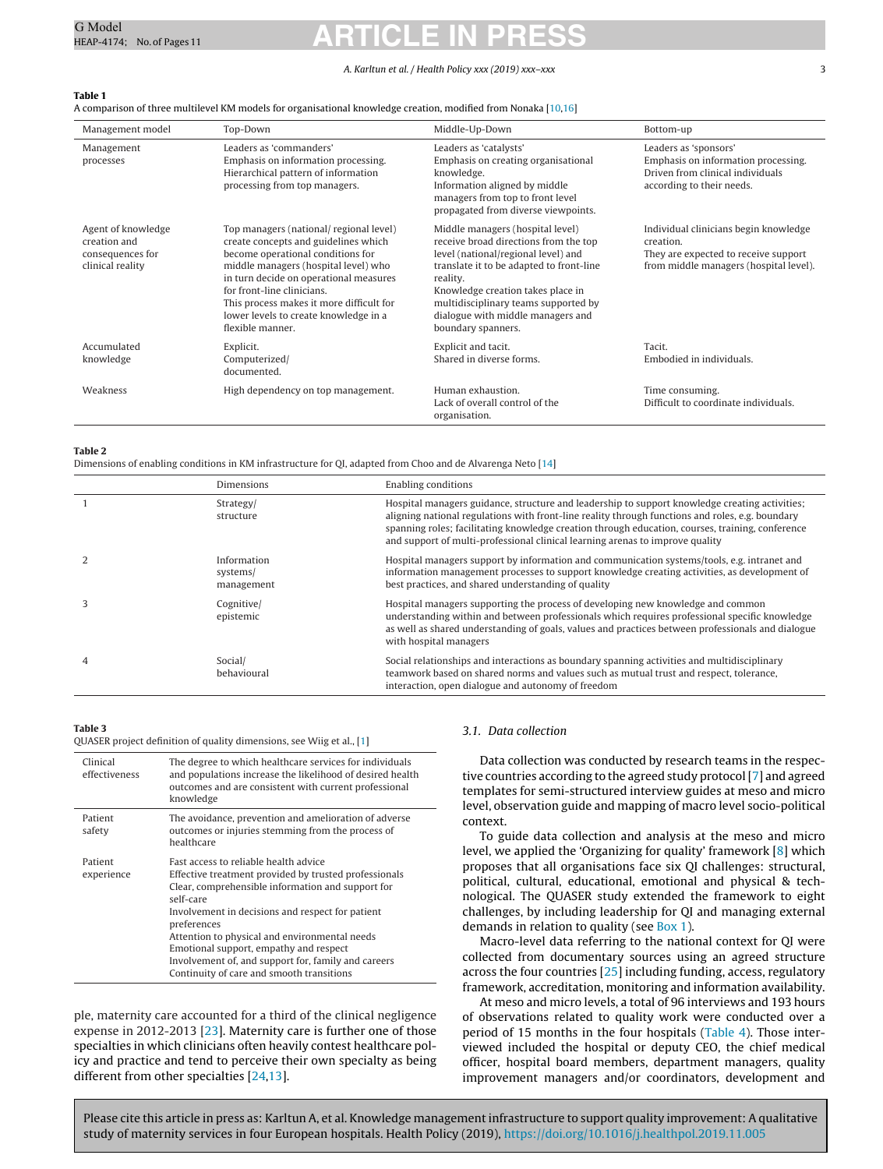#### A. Karltun et al. / Health Policy xxx (2019) xxx–xxx 3

#### <span id="page-2-0"></span>**Table 1**

A comparison of three multilevel KM models for organisational knowledge creation, modified from Nonaka [[10,16\]](#page-10-0)

| Management model                                                           | Top-Down                                                                                                                                                                                                                                                                                                                                      | Middle-Up-Down                                                                                                                                                                                                                                                                                                   | Bottom-up                                                                                                                            |
|----------------------------------------------------------------------------|-----------------------------------------------------------------------------------------------------------------------------------------------------------------------------------------------------------------------------------------------------------------------------------------------------------------------------------------------|------------------------------------------------------------------------------------------------------------------------------------------------------------------------------------------------------------------------------------------------------------------------------------------------------------------|--------------------------------------------------------------------------------------------------------------------------------------|
| Management<br>processes                                                    | Leaders as 'commanders'<br>Emphasis on information processing.<br>Hierarchical pattern of information<br>processing from top managers.                                                                                                                                                                                                        | Leaders as 'catalysts'<br>Emphasis on creating organisational<br>knowledge.<br>Information aligned by middle<br>managers from top to front level<br>propagated from diverse viewpoints.                                                                                                                          | Leaders as 'sponsors'<br>Emphasis on information processing.<br>Driven from clinical individuals<br>according to their needs.        |
| Agent of knowledge<br>creation and<br>consequences for<br>clinical reality | Top managers (national/ regional level)<br>create concepts and guidelines which<br>become operational conditions for<br>middle managers (hospital level) who<br>in turn decide on operational measures<br>for front-line clinicians.<br>This process makes it more difficult for<br>lower levels to create knowledge in a<br>flexible manner. | Middle managers (hospital level)<br>receive broad directions from the top<br>level (national/regional level) and<br>translate it to be adapted to front-line<br>reality.<br>Knowledge creation takes place in<br>multidisciplinary teams supported by<br>dialogue with middle managers and<br>boundary spanners. | Individual clinicians begin knowledge<br>creation.<br>They are expected to receive support<br>from middle managers (hospital level). |
| Accumulated<br>knowledge                                                   | Explicit.<br>Computerized/<br>documented.                                                                                                                                                                                                                                                                                                     | Explicit and tacit.<br>Shared in diverse forms.                                                                                                                                                                                                                                                                  | Tacit.<br>Embodied in individuals.                                                                                                   |
| Weakness                                                                   | High dependency on top management.                                                                                                                                                                                                                                                                                                            | Human exhaustion.<br>Lack of overall control of the<br>organisation.                                                                                                                                                                                                                                             | Time consuming.<br>Difficult to coordinate individuals.                                                                              |

#### **Table 2**

Dimensions of enabling conditions in KM infrastructure for QI, adapted from Choo and de Alvarenga Neto [\[14\]](#page-10-0)

|   | Dimensions                            | Enabling conditions                                                                                                                                                                                                                                                                                                                                                                     |
|---|---------------------------------------|-----------------------------------------------------------------------------------------------------------------------------------------------------------------------------------------------------------------------------------------------------------------------------------------------------------------------------------------------------------------------------------------|
|   | Strategy/<br>structure                | Hospital managers guidance, structure and leadership to support knowledge creating activities;<br>aligning national regulations with front-line reality through functions and roles, e.g. boundary<br>spanning roles; facilitating knowledge creation through education, courses, training, conference<br>and support of multi-professional clinical learning arenas to improve quality |
|   | Information<br>systems/<br>management | Hospital managers support by information and communication systems/tools, e.g. intranet and<br>information management processes to support knowledge creating activities, as development of<br>best practices, and shared understanding of quality                                                                                                                                      |
|   | Cognitive/<br>epistemic               | Hospital managers supporting the process of developing new knowledge and common<br>understanding within and between professionals which requires professional specific knowledge<br>as well as shared understanding of goals, values and practices between professionals and dialogue<br>with hospital managers                                                                         |
| 4 | Social/<br>behavioural                | Social relationships and interactions as boundary spanning activities and multidisciplinary<br>teamwork based on shared norms and values such as mutual trust and respect, tolerance,<br>interaction, open dialogue and autonomy of freedom                                                                                                                                             |

#### **Table 3**

QUASER project definition of quality dimensions, see Wiig et al., [\[1\]](#page-10-0)

| Clinical<br>effectiveness | The degree to which healthcare services for individuals<br>and populations increase the likelihood of desired health<br>outcomes and are consistent with current professional<br>knowledge                                                                                                                                                                                                                                         |
|---------------------------|------------------------------------------------------------------------------------------------------------------------------------------------------------------------------------------------------------------------------------------------------------------------------------------------------------------------------------------------------------------------------------------------------------------------------------|
| Patient<br>safety         | The avoidance, prevention and amelioration of adverse<br>outcomes or injuries stemming from the process of<br>healthcare                                                                                                                                                                                                                                                                                                           |
| Patient<br>experience     | Fast access to reliable health advice<br>Effective treatment provided by trusted professionals<br>Clear, comprehensible information and support for<br>self-care<br>Involvement in decisions and respect for patient<br>preferences<br>Attention to physical and environmental needs<br>Emotional support, empathy and respect<br>Involvement of, and support for, family and careers<br>Continuity of care and smooth transitions |

ple, maternity care accounted for a third of the clinical negligence expense in 2012-2013 [\[23\].](#page-10-0) Maternity care is further one of those specialties in which clinicians often heavily contest healthcare policy and practice and tend to perceive their own specialty as being different from other specialties [\[24,13\].](#page-10-0)

#### 3.1. Data collection

Data collection was conducted by research teams in the respective countries according to the agreed study protocol[\[7\]](#page-10-0) and agreed templates for semi-structured interview guides at meso and micro level, observation guide and mapping of macro level socio-political context.

To guide data collection and analysis at the meso and micro level, we applied the 'Organizing for quality' framework [\[8\]](#page-10-0) which proposes that all organisations face six QI challenges: structural, political, cultural, educational, emotional and physical & technological. The QUASER study extended the framework to eight challenges, by including leadership for QI and managing external demands in relation to quality (see [Box](#page-1-0) [1\).](#page-1-0)

Macro-level data referring to the national context for QI were collected from documentary sources using an agreed structure across the four countries [\[25\]](#page-10-0) including funding, access, regulatory framework, accreditation, monitoring and information availability.

At meso and micro levels, a total of 96 interviews and 193 hours of observations related to quality work were conducted over a period of 15 months in the four hospitals [\(Table](#page-3-0) 4). Those interviewed included the hospital or deputy CEO, the chief medical officer, hospital board members, department managers, quality improvement managers and/or coordinators, development and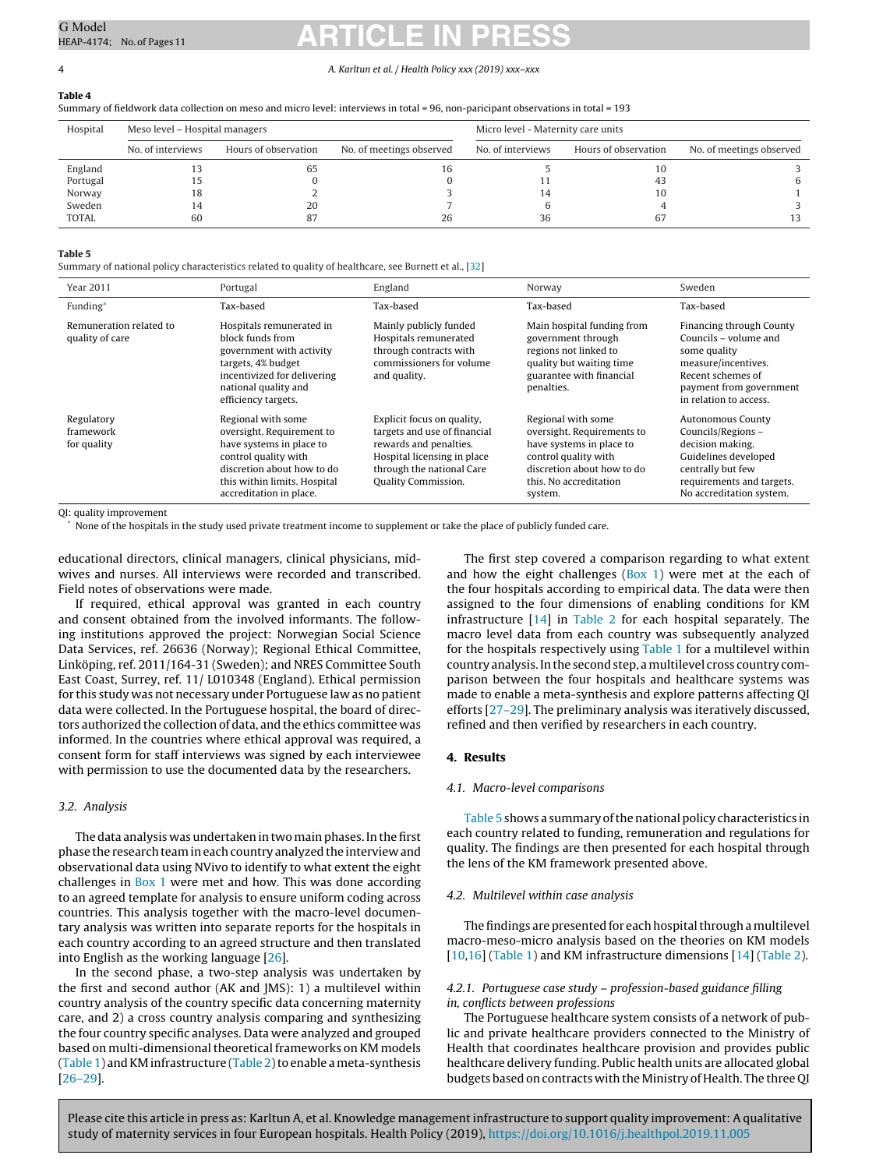#### <span id="page-3-0"></span>4 A. Karltun et al. / Health Policy xxx (2019) xxx–xxx

**Table 4**

Summary of fieldwork data collection on meso and micro level: interviews in total = 96, non-paricipant observations in total = 193

| Hospital     | Meso level - Hospital managers |                      | Micro level - Maternity care units |                   |                      |                          |
|--------------|--------------------------------|----------------------|------------------------------------|-------------------|----------------------|--------------------------|
|              | No. of interviews              | Hours of observation | No. of meetings observed           | No. of interviews | Hours of observation | No. of meetings observed |
| England      |                                | ხა                   |                                    |                   | 10                   |                          |
| Portugal     |                                |                      |                                    |                   | 43                   |                          |
| Norway       | 18                             |                      |                                    | 14                | 10                   |                          |
| Sweden       |                                | 20                   |                                    |                   |                      |                          |
| <b>TOTAL</b> | 60                             |                      | 26                                 | 36                | 67                   |                          |

#### **Table 5**

Summary of national policy characteristics related to quality of healthcare, see Burnett et al., [\[32\]](#page-10-0)

| <b>Year 2011</b>                           | Portugal                                                                                                                                                                                     | England                                                                                                                                                                        | Norway                                                                                                                                                                  | Sweden                                                                                                                                                                   |
|--------------------------------------------|----------------------------------------------------------------------------------------------------------------------------------------------------------------------------------------------|--------------------------------------------------------------------------------------------------------------------------------------------------------------------------------|-------------------------------------------------------------------------------------------------------------------------------------------------------------------------|--------------------------------------------------------------------------------------------------------------------------------------------------------------------------|
| Funding*                                   | Tax-based                                                                                                                                                                                    | Tax-based                                                                                                                                                                      | Tax-based                                                                                                                                                               | Tax-based                                                                                                                                                                |
| Remuneration related to<br>quality of care | Hospitals remunerated in<br>block funds from<br>government with activity<br>targets, 4% budget<br>incentivized for delivering<br>national quality and<br>efficiency targets.                 | Mainly publicly funded<br>Hospitals remunerated<br>through contracts with<br>commissioners for volume<br>and quality.                                                          | Main hospital funding from<br>government through<br>regions not linked to<br>quality but waiting time<br>guarantee with financial<br>penalties.                         | Financing through County<br>Councils – volume and<br>some quality<br>measure/incentives.<br>Recent schemes of<br>payment from government<br>in relation to access.       |
| Regulatory<br>framework<br>for quality     | Regional with some<br>oversight, Requirement to<br>have systems in place to<br>control quality with<br>discretion about how to do<br>this within limits. Hospital<br>accreditation in place. | Explicit focus on quality,<br>targets and use of financial<br>rewards and penalties.<br>Hospital licensing in place<br>through the national Care<br><b>Quality Commission.</b> | Regional with some<br>oversight. Requirements to<br>have systems in place to<br>control quality with<br>discretion about how to do<br>this. No accreditation<br>system. | <b>Autonomous County</b><br>Councils/Regions -<br>decision making.<br>Guidelines developed<br>centrally but few<br>requirements and targets.<br>No accreditation system. |

QI: quality improvement

None of the hospitals in the study used private treatment income to supplement or take the place of publicly funded care.

educational directors, clinical managers, clinical physicians, midwives and nurses. All interviews were recorded and transcribed. Field notes of observations were made.

If required, ethical approval was granted in each country and consent obtained from the involved informants. The following institutions approved the project: Norwegian Social Science Data Services, ref. 26636 (Norway); Regional Ethical Committee, Linköping, ref. 2011/164-31 (Sweden); and NRES Committee South East Coast, Surrey, ref. 11/ L010348 (England). Ethical permission for this study was not necessary under Portuguese law as no patient data were collected. In the Portuguese hospital, the board of directors authorized the collection of data, and the ethics committee was informed. In the countries where ethical approval was required, a consent form for staff interviews was signed by each interviewee with permission to use the documented data by the researchers.

#### 3.2. Analysis

The data analysis was undertaken in two main phases. In the first phase the research team in each country analyzed the interview and observational data using NVivo to identify to what extent the eight challenges in [Box](#page-1-0) [1](#page-1-0) were met and how. This was done according to an agreed template for analysis to ensure uniform coding across countries. This analysis together with the macro-level documentary analysis was written into separate reports for the hospitals in each country according to an agreed structure and then translated into English as the working language [\[26\].](#page-10-0)

In the second phase, a two-step analysis was undertaken by the first and second author (AK and JMS): 1) a multilevel within country analysis of the country specific data concerning maternity care, and 2) a cross country analysis comparing and synthesizing the four country specific analyses. Data were analyzed and grouped based on multi-dimensional theoretical frameworks on KM models ([Table](#page-2-0) 1) and KM infrastructure (Table 2) to enable a meta-synthesis [[26–29\].](#page-10-0)

The first step covered a comparison regarding to what extent and how the eight challenges  $(Box 1)$  $(Box 1)$  $(Box 1)$  $(Box 1)$  were met at the each of the four hospitals according to empirical data. The data were then assigned to the four dimensions of enabling conditions for KM infrastructure [\[14\]](#page-10-0) in [Table](#page-2-0) 2 for each hospital separately. The macro level data from each country was subsequently analyzed for the hospitals respectively using [Table](#page-2-0) 1 for a multilevel within country analysis.Inthe second step, amultilevel cross country comparison between the four hospitals and healthcare systems was made to enable a meta-synthesis and explore patterns affecting QI efforts [[27–29\].](#page-10-0) The preliminary analysis was iteratively discussed, refined and then verified by researchers in each country.

#### **4. Results**

#### 4.1. Macro-level comparisons

Table 5 shows a summary ofthenationalpolicy characteristics in each country related to funding, remuneration and regulations for quality. The findings are then presented for each hospital through the lens of the KM framework presented above.

#### 4.2. Multilevel within case analysis

The findings are presented for each hospital through a multilevel macro-meso-micro analysis based on the theories on KM models [\[10,16\]](#page-10-0) ([Table](#page-2-0) 1) and KM infrastructure dimensions [[14\]](#page-10-0) ([Table](#page-2-0) 2).

#### 4.2.1. Portuguese case study – profession-based guidance filling in, conflicts between professions

The Portuguese healthcare system consists of a network of public and private healthcare providers connected to the Ministry of Health that coordinates healthcare provision and provides public healthcare delivery funding. Public health units are allocated global budgets based on contracts with the Ministry of Health. The three QI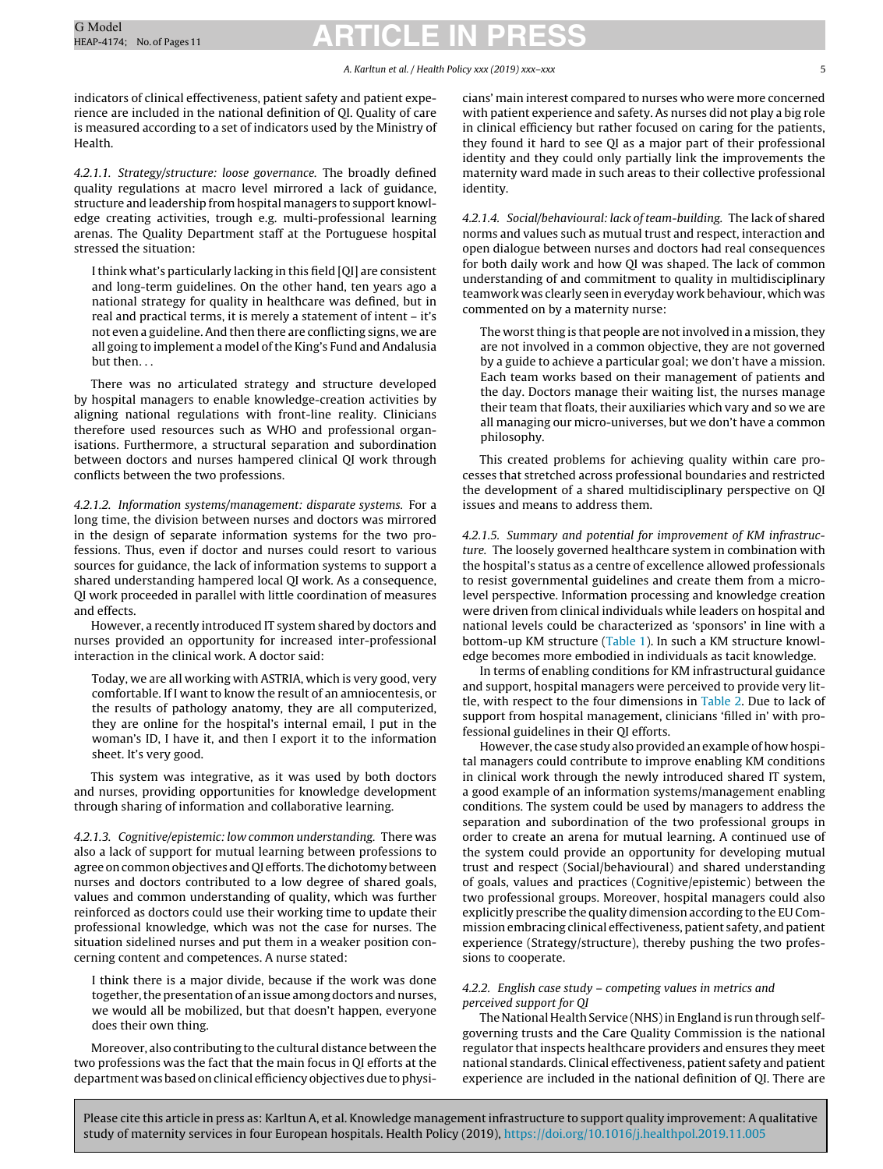#### A. Karltun et al. / Health Policy xxx (2019) xxx–xxx 5

indicators of clinical effectiveness, patient safety and patient experience are included in the national definition of QI. Quality of care is measured according to a set of indicators used by the Ministry of Health.

4.2.1.1. Strategy/structure: loose governance. The broadly defined quality regulations at macro level mirrored a lack of guidance, structure and leadership from hospital managers to support knowledge creating activities, trough e.g. multi-professional learning arenas. The Quality Department staff at the Portuguese hospital stressed the situation:

Ithink what's particularly lacking in this field [QI] are consistent and long-term guidelines. On the other hand, ten years ago a national strategy for quality in healthcare was defined, but in real and practical terms, it is merely a statement of intent – it's not even a guideline. And then there are conflicting signs, we are all going to implement a model of the King's Fund and Andalusia but then. . .

There was no articulated strategy and structure developed by hospital managers to enable knowledge-creation activities by aligning national regulations with front-line reality. Clinicians therefore used resources such as WHO and professional organisations. Furthermore, a structural separation and subordination between doctors and nurses hampered clinical QI work through conflicts between the two professions.

4.2.1.2. Information systems/management: disparate systems. For a long time, the division between nurses and doctors was mirrored in the design of separate information systems for the two professions. Thus, even if doctor and nurses could resort to various sources for guidance, the lack of information systems to support a shared understanding hampered local QI work. As a consequence, QI work proceeded in parallel with little coordination of measures and effects.

However, a recently introduced IT system shared by doctors and nurses provided an opportunity for increased inter-professional interaction in the clinical work. A doctor said:

Today, we are all working with ASTRIA, which is very good, very comfortable. If I want to know the result of an amniocentesis, or the results of pathology anatomy, they are all computerized, they are online for the hospital's internal email, I put in the woman's ID, I have it, and then I export it to the information sheet. It's very good.

This system was integrative, as it was used by both doctors and nurses, providing opportunities for knowledge development through sharing of information and collaborative learning.

4.2.1.3. Cognitive/epistemic: low common understanding. There was also a lack of support for mutual learning between professions to agree on common objectives and QI efforts. The dichotomy between nurses and doctors contributed to a low degree of shared goals, values and common understanding of quality, which was further reinforced as doctors could use their working time to update their professional knowledge, which was not the case for nurses. The situation sidelined nurses and put them in a weaker position concerning content and competences. A nurse stated:

I think there is a major divide, because if the work was done together, the presentation of an issue among doctors and nurses, we would all be mobilized, but that doesn't happen, everyone does their own thing.

Moreover, also contributing to the cultural distance between the two professions was the fact that the main focus in QI efforts at the department was based on clinical efficiency objectives due to physicians' main interest compared to nurses who were more concerned with patient experience and safety. As nurses did not play a big role in clinical efficiency but rather focused on caring for the patients, they found it hard to see QI as a major part of their professional identity and they could only partially link the improvements the maternity ward made in such areas to their collective professional identity.

4.2.1.4. Social/behavioural: lack of team-building. The lack of shared norms and values such as mutual trust and respect, interaction and open dialogue between nurses and doctors had real consequences for both daily work and how QI was shaped. The lack of common understanding of and commitment to quality in multidisciplinary teamwork was clearly seen in everyday work behaviour, which was commented on by a maternity nurse:

The worst thing is that people are not involved in a mission, they are not involved in a common objective, they are not governed by a guide to achieve a particular goal; we don't have a mission. Each team works based on their management of patients and the day. Doctors manage their waiting list, the nurses manage their team that floats, their auxiliaries which vary and so we are all managing our micro-universes, but we don't have a common philosophy.

This created problems for achieving quality within care processes that stretched across professional boundaries and restricted the development of a shared multidisciplinary perspective on QI issues and means to address them.

4.2.1.5. Summary and potential for improvement of KM infrastructure. The loosely governed healthcare system in combination with the hospital's status as a centre of excellence allowed professionals to resist governmental guidelines and create them from a microlevel perspective. Information processing and knowledge creation were driven from clinical individuals while leaders on hospital and national levels could be characterized as 'sponsors' in line with a bottom-up KM structure ([Table](#page-2-0) 1). In such a KM structure knowledge becomes more embodied in individuals as tacit knowledge.

In terms of enabling conditions for KM infrastructural guidance and support, hospital managers were perceived to provide very little, with respect to the four dimensions in [Table](#page-2-0) 2. Due to lack of support from hospital management, clinicians 'filled in' with professional guidelines in their QI efforts.

However, the case study also provided an example of how hospital managers could contribute to improve enabling KM conditions in clinical work through the newly introduced shared IT system, a good example of an information systems/management enabling conditions. The system could be used by managers to address the separation and subordination of the two professional groups in order to create an arena for mutual learning. A continued use of the system could provide an opportunity for developing mutual trust and respect (Social/behavioural) and shared understanding of goals, values and practices (Cognitive/epistemic) between the two professional groups. Moreover, hospital managers could also explicitly prescribe the quality dimension according to the EU Commission embracing clinical effectiveness, patient safety, and patient experience (Strategy/structure), thereby pushing the two professions to cooperate.

#### 4.2.2. English case study – competing values in metrics and perceived support for QI

The National Health Service (NHS) in England is run through selfgoverning trusts and the Care Quality Commission is the national regulator that inspects healthcare providers and ensures they meet national standards. Clinical effectiveness, patient safety and patient experience are included in the national definition of QI. There are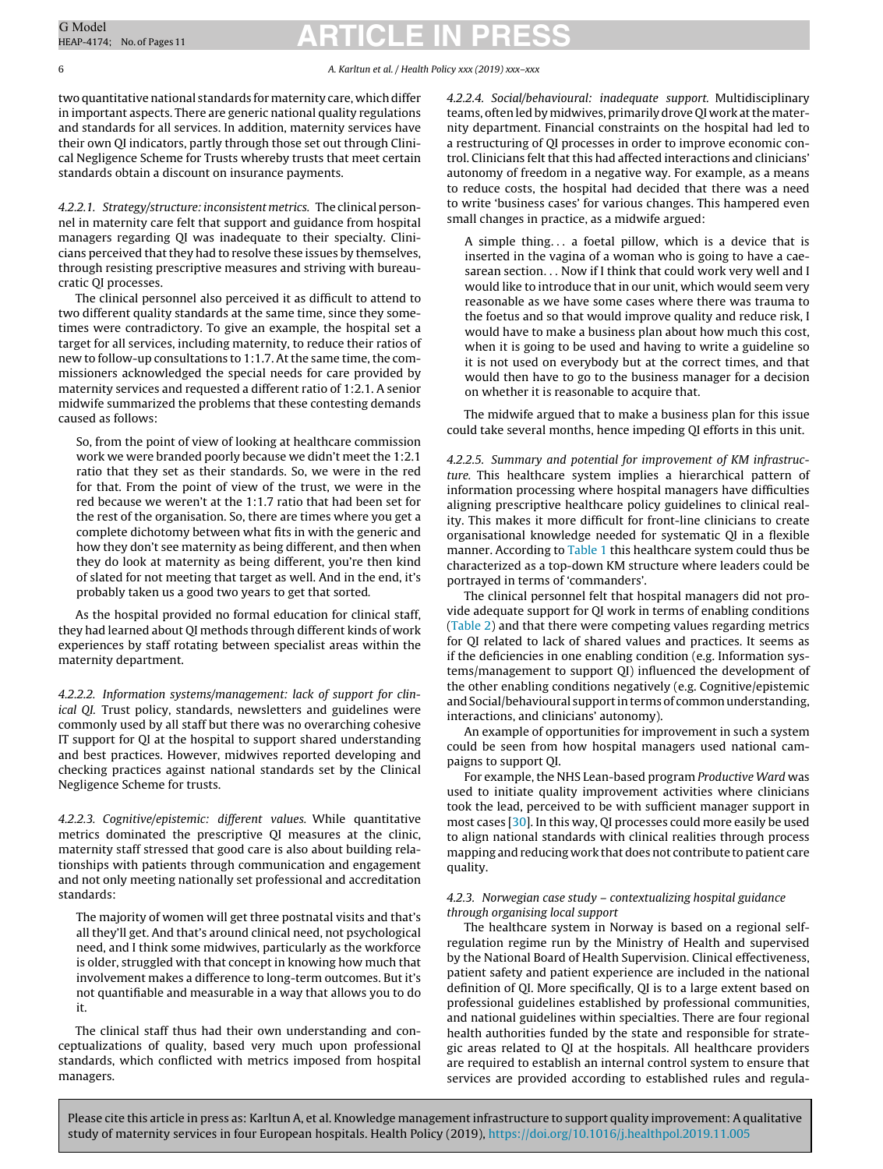two quantitative national standards formaternity care, which differ in important aspects. There are generic national quality regulations and standards for all services. In addition, maternity services have their own QI indicators, partly through those set out through Clinical Negligence Scheme for Trusts whereby trusts that meet certain standards obtain a discount on insurance payments.

4.2.2.1. Strategy/structure: inconsistent metrics. The clinical personnel in maternity care felt that support and guidance from hospital managers regarding QI was inadequate to their specialty. Clinicians perceived that they had to resolve these issues by themselves, through resisting prescriptive measures and striving with bureaucratic QI processes.

The clinical personnel also perceived it as difficult to attend to two different quality standards at the same time, since they sometimes were contradictory. To give an example, the hospital set a target for all services, including maternity, to reduce their ratios of new to follow-up consultations to 1:1.7. At the same time, the commissioners acknowledged the special needs for care provided by maternity services and requested a different ratio of 1:2.1. A senior midwife summarized the problems that these contesting demands caused as follows:

So, from the point of view of looking at healthcare commission work we were branded poorly because we didn't meet the 1:2.1 ratio that they set as their standards. So, we were in the red for that. From the point of view of the trust, we were in the red because we weren't at the 1:1.7 ratio that had been set for the rest of the organisation. So, there are times where you get a complete dichotomy between what fits in with the generic and how they don't see maternity as being different, and then when they do look at maternity as being different, you're then kind of slated for not meeting that target as well. And in the end, it's probably taken us a good two years to get that sorted.

As the hospital provided no formal education for clinical staff, they had learned about QI methods through different kinds of work experiences by staff rotating between specialist areas within the maternity department.

4.2.2.2. Information systems/management: lack of support for clinical QI. Trust policy, standards, newsletters and guidelines were commonly used by all staff but there was no overarching cohesive IT support for QI at the hospital to support shared understanding and best practices. However, midwives reported developing and checking practices against national standards set by the Clinical Negligence Scheme for trusts.

4.2.2.3. Cognitive/epistemic: different values. While quantitative metrics dominated the prescriptive QI measures at the clinic, maternity staff stressed that good care is also about building relationships with patients through communication and engagement and not only meeting nationally set professional and accreditation standards:

The majority of women will get three postnatal visits and that's all they'll get. And that's around clinical need, not psychological need, and I think some midwives, particularly as the workforce is older, struggled with that concept in knowing how much that involvement makes a difference to long-term outcomes. But it's not quantifiable and measurable in a way that allows you to do it.

The clinical staff thus had their own understanding and conceptualizations of quality, based very much upon professional standards, which conflicted with metrics imposed from hospital managers.

Please cite this article in press as: Karltun A, et al. Knowledge management infrastructure to support quality improvement: A qualitative

study of maternity services in four European hospitals. Health Policy (2019), <https://doi.org/10.1016/j.healthpol.2019.11.005>

4.2.2.4. Social/behavioural: inadequate support. Multidisciplinary teams, often led by midwives, primarily drove QI work atthe maternity department. Financial constraints on the hospital had led to a restructuring of QI processes in order to improve economic control. Clinicians felt that this had affected interactions and clinicians' autonomy of freedom in a negative way. For example, as a means to reduce costs, the hospital had decided that there was a need to write 'business cases' for various changes. This hampered even small changes in practice, as a midwife argued:

A simple thing. . . a foetal pillow, which is a device that is inserted in the vagina of a woman who is going to have a caesarean section. . . Now if I think that could work very well and I would like to introduce that in our unit, which would seem very reasonable as we have some cases where there was trauma to the foetus and so that would improve quality and reduce risk, I would have to make a business plan about how much this cost, when it is going to be used and having to write a guideline so it is not used on everybody but at the correct times, and that would then have to go to the business manager for a decision on whether it is reasonable to acquire that.

The midwife argued that to make a business plan for this issue could take several months, hence impeding QI efforts in this unit.

4.2.2.5. Summary and potential for improvement of KM infrastructure. This healthcare system implies a hierarchical pattern of information processing where hospital managers have difficulties aligning prescriptive healthcare policy guidelines to clinical reality. This makes it more difficult for front-line clinicians to create organisational knowledge needed for systematic QI in a flexible manner. According to [Table](#page-2-0) 1 this healthcare system could thus be characterized as a top-down KM structure where leaders could be portrayed in terms of 'commanders'.

The clinical personnel felt that hospital managers did not provide adequate support for QI work in terms of enabling conditions [\(Table](#page-2-0) 2) and that there were competing values regarding metrics for QI related to lack of shared values and practices. It seems as if the deficiencies in one enabling condition (e.g. Information systems/management to support QI) influenced the development of the other enabling conditions negatively (e.g. Cognitive/epistemic and Social/behavioural support in terms of common understanding, interactions, and clinicians' autonomy).

An example of opportunities for improvement in such a system could be seen from how hospital managers used national campaigns to support QI.

For example, the NHS Lean-based program Productive Ward was used to initiate quality improvement activities where clinicians took the lead, perceived to be with sufficient manager support in most cases [[30\].](#page-10-0) In this way, QI processes could more easily be used to align national standards with clinical realities through process mapping and reducing work that does not contribute to patient care quality.

#### 4.2.3. Norwegian case study – contextualizing hospital guidance through organising local support

The healthcare system in Norway is based on a regional selfregulation regime run by the Ministry of Health and supervised by the National Board of Health Supervision. Clinical effectiveness, patient safety and patient experience are included in the national definition of QI. More specifically, QI is to a large extent based on professional guidelines established by professional communities, and national guidelines within specialties. There are four regional health authorities funded by the state and responsible for strategic areas related to QI at the hospitals. All healthcare providers are required to establish an internal control system to ensure that services are provided according to established rules and regula-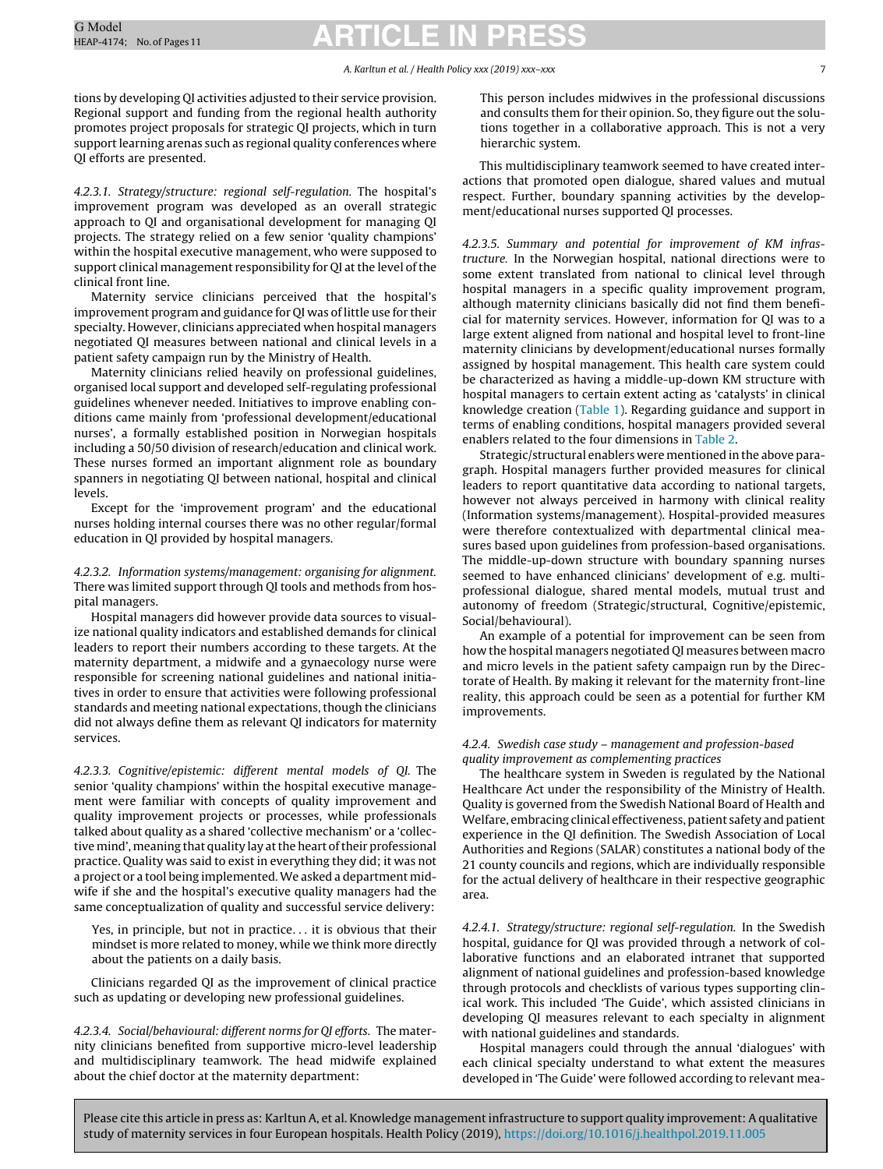#### A. Karltun et al. / Health Policy xxx (2019) xxx–xxx 7

tions by developing QI activities adjusted to their service provision. Regional support and funding from the regional health authority promotes project proposals for strategic QI projects, which in turn support learning arenas such as regional quality conferences where QI efforts are presented.

4.2.3.1. Strategy/structure: regional self-regulation. The hospital's improvement program was developed as an overall strategic approach to QI and organisational development for managing QI projects. The strategy relied on a few senior 'quality champions' within the hospital executive management, who were supposed to support clinical management responsibility for QI at the level of the clinical front line.

Maternity service clinicians perceived that the hospital's improvement program and guidance for QI was of little use for their specialty. However, clinicians appreciated when hospital managers negotiated QI measures between national and clinical levels in a patient safety campaign run by the Ministry of Health.

Maternity clinicians relied heavily on professional guidelines, organised local support and developed self-regulating professional guidelines whenever needed. Initiatives to improve enabling conditions came mainly from 'professional development/educational nurses', a formally established position in Norwegian hospitals including a 50/50 division of research/education and clinical work. These nurses formed an important alignment role as boundary spanners in negotiating QI between national, hospital and clinical levels.

Except for the 'improvement program' and the educational nurses holding internal courses there was no other regular/formal education in QI provided by hospital managers.

#### 4.2.3.2. Information systems/management: organising for alignment. There was limited support through QI tools and methods from hospital managers.

Hospital managers did however provide data sources to visualize national quality indicators and established demands for clinical leaders to report their numbers according to these targets. At the maternity department, a midwife and a gynaecology nurse were responsible for screening national guidelines and national initiatives in order to ensure that activities were following professional standards and meeting national expectations, though the clinicians did not always define them as relevant QI indicators for maternity services.

4.2.3.3. Cognitive/epistemic: different mental models of QI. The senior 'quality champions' within the hospital executive management were familiar with concepts of quality improvement and quality improvement projects or processes, while professionals talked about quality as a shared 'collective mechanism' or a 'collective mind', meaning that quality lay at the heart of their professional practice. Quality was said to exist in everything they did; it was not a project or a tool being implemented.We asked a department midwife if she and the hospital's executive quality managers had the same conceptualization of quality and successful service delivery:

Yes, in principle, but not in practice. . . it is obvious that their mindset is more related to money, while we think more directly about the patients on a daily basis.

Clinicians regarded QI as the improvement of clinical practice such as updating or developing new professional guidelines.

4.2.3.4. Social/behavioural: different norms for QI efforts. The maternity clinicians benefited from supportive micro-level leadership and multidisciplinary teamwork. The head midwife explained about the chief doctor at the maternity department:

This person includes midwives in the professional discussions and consults them for their opinion. So, they figure out the solutions together in a collaborative approach. This is not a very hierarchic system.

This multidisciplinary teamwork seemed to have created interactions that promoted open dialogue, shared values and mutual respect. Further, boundary spanning activities by the development/educational nurses supported QI processes.

4.2.3.5. Summary and potential for improvement of KM infrastructure. In the Norwegian hospital, national directions were to some extent translated from national to clinical level through hospital managers in a specific quality improvement program, although maternity clinicians basically did not find them beneficial for maternity services. However, information for QI was to a large extent aligned from national and hospital level to front-line maternity clinicians by development/educational nurses formally assigned by hospital management. This health care system could be characterized as having a middle-up-down KM structure with hospital managers to certain extent acting as 'catalysts' in clinical knowledge creation ([Table](#page-2-0) 1). Regarding guidance and support in terms of enabling conditions, hospital managers provided several enablers related to the four dimensions in [Table](#page-2-0) 2.

Strategic/structural enablers were mentioned in the above paragraph. Hospital managers further provided measures for clinical leaders to report quantitative data according to national targets, however not always perceived in harmony with clinical reality (Information systems/management). Hospital-provided measures were therefore contextualized with departmental clinical measures based upon guidelines from profession-based organisations. The middle-up-down structure with boundary spanning nurses seemed to have enhanced clinicians' development of e.g. multiprofessional dialogue, shared mental models, mutual trust and autonomy of freedom (Strategic/structural, Cognitive/epistemic, Social/behavioural).

An example of a potential for improvement can be seen from how the hospital managers negotiated QI measures between macro and micro levels in the patient safety campaign run by the Directorate of Health. By making it relevant for the maternity front-line reality, this approach could be seen as a potential for further KM improvements.

#### 4.2.4. Swedish case study – management and profession-based quality improvement as complementing practices

The healthcare system in Sweden is regulated by the National Healthcare Act under the responsibility of the Ministry of Health. Quality is governed from the Swedish National Board of Health and Welfare, embracing clinical effectiveness, patient safety and patient experience in the QI definition. The Swedish Association of Local Authorities and Regions (SALAR) constitutes a national body of the 21 county councils and regions, which are individually responsible for the actual delivery of healthcare in their respective geographic area.

4.2.4.1. Strategy/structure: regional self-regulation. In the Swedish hospital, guidance for QI was provided through a network of collaborative functions and an elaborated intranet that supported alignment of national guidelines and profession-based knowledge through protocols and checklists of various types supporting clinical work. This included 'The Guide', which assisted clinicians in developing QI measures relevant to each specialty in alignment with national guidelines and standards.

Hospital managers could through the annual 'dialogues' with each clinical specialty understand to what extent the measures developed in 'The Guide' were followed according to relevant mea-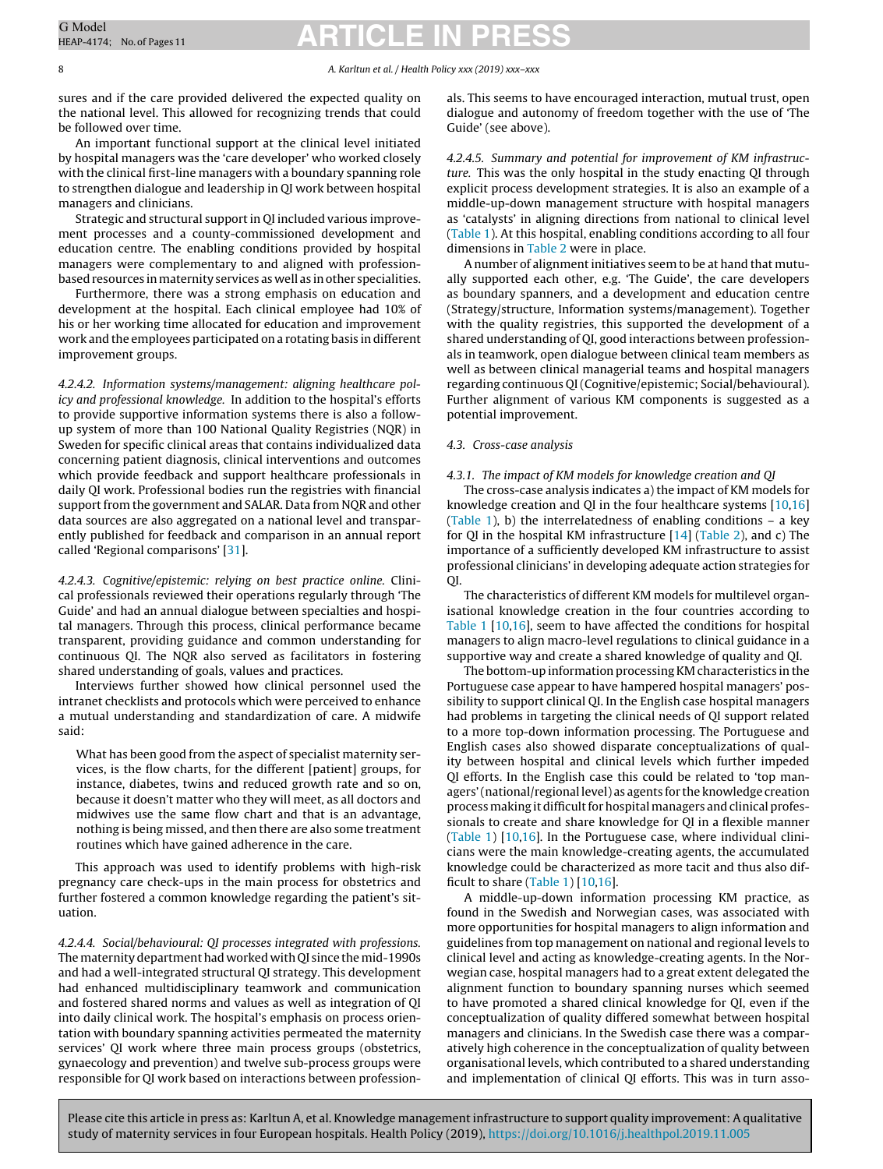#### 8 A. Karltun et al. / Health Policy xxx (2019) xxx–xxx

sures and if the care provided delivered the expected quality on the national level. This allowed for recognizing trends that could be followed over time.

An important functional support at the clinical level initiated by hospital managers was the 'care developer' who worked closely with the clinical first-line managers with a boundary spanning role to strengthen dialogue and leadership in QI work between hospital managers and clinicians.

Strategic and structural support in QI included various improvement processes and a county-commissioned development and education centre. The enabling conditions provided by hospital managers were complementary to and aligned with professionbased resources in maternity services as well as in other specialities.

Furthermore, there was a strong emphasis on education and development at the hospital. Each clinical employee had 10% of his or her working time allocated for education and improvement work and the employees participated on a rotating basis in different improvement groups.

4.2.4.2. Information systems/management: aligning healthcare policy and professional knowledge. In addition to the hospital's efforts to provide supportive information systems there is also a followup system of more than 100 National Quality Registries (NQR) in Sweden for specific clinical areas that contains individualized data concerning patient diagnosis, clinical interventions and outcomes which provide feedback and support healthcare professionals in daily QI work. Professional bodies run the registries with financial support from the government and SALAR. Data from NQR and other data sources are also aggregated on a national level and transparently published for feedback and comparison in an annual report called 'Regional comparisons' [\[31\].](#page-10-0)

4.2.4.3. Cognitive/epistemic: relying on best practice online. Clinical professionals reviewed their operations regularly through 'The Guide' and had an annual dialogue between specialties and hospital managers. Through this process, clinical performance became transparent, providing guidance and common understanding for continuous QI. The NQR also served as facilitators in fostering shared understanding of goals, values and practices.

Interviews further showed how clinical personnel used the intranet checklists and protocols which were perceived to enhance a mutual understanding and standardization of care. A midwife said:

What has been good from the aspect of specialist maternity services, is the flow charts, for the different [patient] groups, for instance, diabetes, twins and reduced growth rate and so on, because it doesn't matter who they will meet, as all doctors and midwives use the same flow chart and that is an advantage, nothing is being missed, and then there are also some treatment routines which have gained adherence in the care.

This approach was used to identify problems with high-risk pregnancy care check-ups in the main process for obstetrics and further fostered a common knowledge regarding the patient's situation.

4.2.4.4. Social/behavioural: QI processes integrated with professions. The maternity department had worked with QI since the mid-1990s and had a well-integrated structural QI strategy. This development had enhanced multidisciplinary teamwork and communication and fostered shared norms and values as well as integration of QI into daily clinical work. The hospital's emphasis on process orientation with boundary spanning activities permeated the maternity services' QI work where three main process groups (obstetrics, gynaecology and prevention) and twelve sub-process groups were responsible for QI work based on interactions between professionals. This seems to have encouraged interaction, mutual trust, open dialogue and autonomy of freedom together with the use of 'The Guide' (see above).

4.2.4.5. Summary and potential for improvement of KM infrastructure. This was the only hospital in the study enacting QI through explicit process development strategies. It is also an example of a middle-up-down management structure with hospital managers as 'catalysts' in aligning directions from national to clinical level [\(Table](#page-2-0) 1). At this hospital, enabling conditions according to all four dimensions in [Table](#page-2-0) 2 were in place.

A number of alignment initiatives seem to be at hand that mutually supported each other, e.g. 'The Guide', the care developers as boundary spanners, and a development and education centre (Strategy/structure, Information systems/management). Together with the quality registries, this supported the development of a shared understanding of QI, good interactions between professionals in teamwork, open dialogue between clinical team members as well as between clinical managerial teams and hospital managers regarding continuous QI(Cognitive/epistemic; Social/behavioural). Further alignment of various KM components is suggested as a potential improvement.

#### 4.3. Cross-case analysis

#### 4.3.1. The impact of KM models for knowledge creation and QI

The cross-case analysis indicates a) the impact of KM models for knowledge creation and QI in the four healthcare systems [[10,16\]](#page-10-0) [\(Table](#page-2-0) 1), b) the interrelatedness of enabling conditions – a key for QI in the hospital KM infrastructure [[14\]](#page-10-0) ([Table](#page-2-0) 2), and c) The importance of a sufficiently developed KM infrastructure to assist professional clinicians' in developing adequate action strategies for QI.

The characteristics of different KM models for multilevel organisational knowledge creation in the four countries according to [Table](#page-2-0) 1 [\[10,16\],](#page-10-0) seem to have affected the conditions for hospital managers to align macro-level regulations to clinical guidance in a supportive way and create a shared knowledge of quality and QI.

The bottom-up information processing KM characteristics in the Portuguese case appear to have hampered hospital managers' possibility to support clinical QI. In the English case hospital managers had problems in targeting the clinical needs of QI support related to a more top-down information processing. The Portuguese and English cases also showed disparate conceptualizations of quality between hospital and clinical levels which further impeded QI efforts. In the English case this could be related to 'top managers' (national/regional level) as agents for the knowledge creation process making it difficult for hospital managers and clinical professionals to create and share knowledge for QI in a flexible manner [\(Table](#page-2-0) 1) [[10,16\].](#page-10-0) In the Portuguese case, where individual clinicians were the main knowledge-creating agents, the accumulated knowledge could be characterized as more tacit and thus also difficult to share ([Table](#page-2-0) 1) [\[10,16\].](#page-10-0)

A middle-up-down information processing KM practice, as found in the Swedish and Norwegian cases, was associated with more opportunities for hospital managers to align information and guidelines from top management on national and regional levels to clinical level and acting as knowledge-creating agents. In the Norwegian case, hospital managers had to a great extent delegated the alignment function to boundary spanning nurses which seemed to have promoted a shared clinical knowledge for QI, even if the conceptualization of quality differed somewhat between hospital managers and clinicians. In the Swedish case there was a comparatively high coherence in the conceptualization of quality between organisational levels, which contributed to a shared understanding and implementation of clinical QI efforts. This was in turn asso-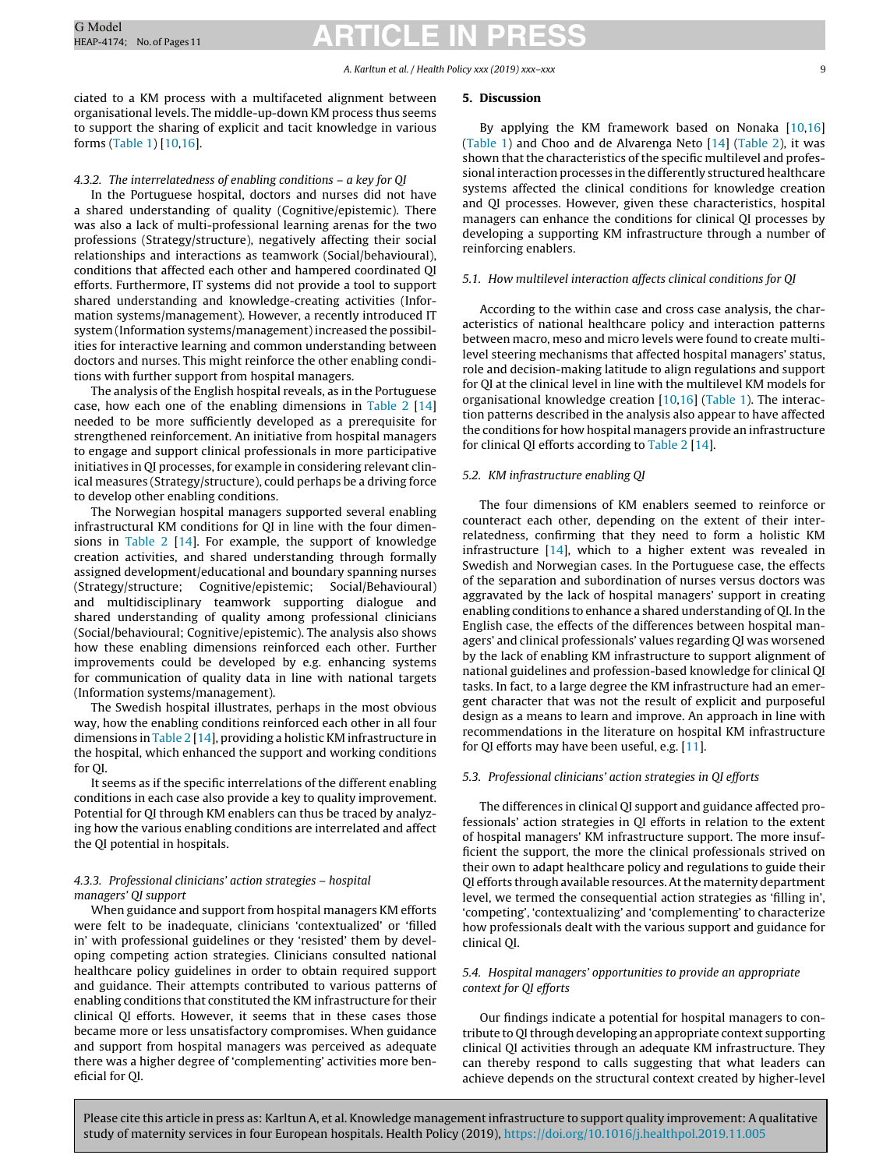#### A. Karltun et al. / Health Policy xxx (2019) xxx–xxx 9

ciated to a KM process with a multifaceted alignment between organisational levels. The middle-up-down KM process thus seems to support the sharing of explicit and tacit knowledge in various forms [\(Table](#page-2-0) 1) [[10,16\].](#page-10-0)

#### 4.3.2. The interrelatedness of enabling conditions – a key for QI

In the Portuguese hospital, doctors and nurses did not have a shared understanding of quality (Cognitive/epistemic). There was also a lack of multi-professional learning arenas for the two professions (Strategy/structure), negatively affecting their social relationships and interactions as teamwork (Social/behavioural), conditions that affected each other and hampered coordinated QI efforts. Furthermore, IT systems did not provide a tool to support shared understanding and knowledge-creating activities (Information systems/management). However, a recently introduced IT system (Information systems/management) increased the possibilities for interactive learning and common understanding between doctors and nurses. This might reinforce the other enabling conditions with further support from hospital managers.

The analysis of the English hospital reveals, as in the Portuguese case, how each one of the enabling dimensions in [Table](#page-2-0) 2 [[14\]](#page-10-0) needed to be more sufficiently developed as a prerequisite for strengthened reinforcement. An initiative from hospital managers to engage and support clinical professionals in more participative initiatives in QI processes, for example in considering relevant clinical measures (Strategy/structure), could perhaps be a driving force to develop other enabling conditions.

The Norwegian hospital managers supported several enabling infrastructural KM conditions for QI in line with the four dimensions in [Table](#page-2-0) 2 [\[14\].](#page-10-0) For example, the support of knowledge creation activities, and shared understanding through formally assigned development/educational and boundary spanning nurses (Strategy/structure; Cognitive/epistemic; Social/Behavioural) and multidisciplinary teamwork supporting dialogue and shared understanding of quality among professional clinicians (Social/behavioural; Cognitive/epistemic). The analysis also shows how these enabling dimensions reinforced each other. Further improvements could be developed by e.g. enhancing systems for communication of quality data in line with national targets (Information systems/management).

The Swedish hospital illustrates, perhaps in the most obvious way, how the enabling conditions reinforced each other in all four dimensions in [Table](#page-2-0) 2 [\[14\],](#page-10-0) providing a holistic KM infrastructure in the hospital, which enhanced the support and working conditions for QI.

It seems as if the specific interrelations of the different enabling conditions in each case also provide a key to quality improvement. Potential for QI through KM enablers can thus be traced by analyzing how the various enabling conditions are interrelated and affect the QI potential in hospitals.

#### 4.3.3. Professional clinicians' action strategies – hospital managers' QI support

When guidance and support from hospital managers KM efforts were felt to be inadequate, clinicians 'contextualized' or 'filled in' with professional guidelines or they 'resisted' them by developing competing action strategies. Clinicians consulted national healthcare policy guidelines in order to obtain required support and guidance. Their attempts contributed to various patterns of enabling conditions that constituted the KM infrastructure for their clinical QI efforts. However, it seems that in these cases those became more or less unsatisfactory compromises. When guidance and support from hospital managers was perceived as adequate there was a higher degree of 'complementing' activities more beneficial for QI.

#### **5. Discussion**

By applying the KM framework based on Nonaka [[10,16\]](#page-10-0) [\(Table](#page-2-0) 1) and Choo and de Alvarenga Neto [[14\]](#page-10-0) ([Table](#page-2-0) 2), it was shown that the characteristics of the specific multilevel and professional interaction processes in the differently structured healthcare systems affected the clinical conditions for knowledge creation and QI processes. However, given these characteristics, hospital managers can enhance the conditions for clinical QI processes by developing a supporting KM infrastructure through a number of reinforcing enablers.

### 5.1. How multilevel interaction affects clinical conditions for QI

According to the within case and cross case analysis, the characteristics of national healthcare policy and interaction patterns between macro, meso and micro levels were found to create multilevel steering mechanisms that affected hospital managers' status, role and decision-making latitude to align regulations and support for QI at the clinical level in line with the multilevel KM models for organisational knowledge creation [\[10,16\]](#page-10-0) [\(Table](#page-2-0) 1). The interaction patterns described in the analysis also appear to have affected the conditions for how hospital managers provide an infrastructure for clinical QI efforts according to [Table](#page-2-0) 2 [[14\].](#page-10-0)

#### 5.2. KM infrastructure enabling QI

The four dimensions of KM enablers seemed to reinforce or counteract each other, depending on the extent of their interrelatedness, confirming that they need to form a holistic KM infrastructure [[14\],](#page-10-0) which to a higher extent was revealed in Swedish and Norwegian cases. In the Portuguese case, the effects of the separation and subordination of nurses versus doctors was aggravated by the lack of hospital managers' support in creating enabling conditions to enhance a shared understanding of QI. In the English case, the effects of the differences between hospital managers' and clinical professionals' values regarding QI was worsened by the lack of enabling KM infrastructure to support alignment of national guidelines and profession-based knowledge for clinical QI tasks. In fact, to a large degree the KM infrastructure had an emergent character that was not the result of explicit and purposeful design as a means to learn and improve. An approach in line with recommendations in the literature on hospital KM infrastructure for QI efforts may have been useful, e.g. [\[11\].](#page-10-0)

#### 5.3. Professional clinicians' action strategies in QI efforts

The differences in clinical QI support and guidance affected professionals' action strategies in QI efforts in relation to the extent of hospital managers' KM infrastructure support. The more insufficient the support, the more the clinical professionals strived on their own to adapt healthcare policy and regulations to guide their QI efforts through available resources.Atthe maternity department level, we termed the consequential action strategies as 'filling in', 'competing', 'contextualizing' and 'complementing' to characterize how professionals dealt with the various support and guidance for clinical QI.

#### 5.4. Hospital managers' opportunities to provide an appropriate context for QI efforts

Our findings indicate a potential for hospital managers to contribute to QI through developing an appropriate context supporting clinical QI activities through an adequate KM infrastructure. They can thereby respond to calls suggesting that what leaders can achieve depends on the structural context created by higher-level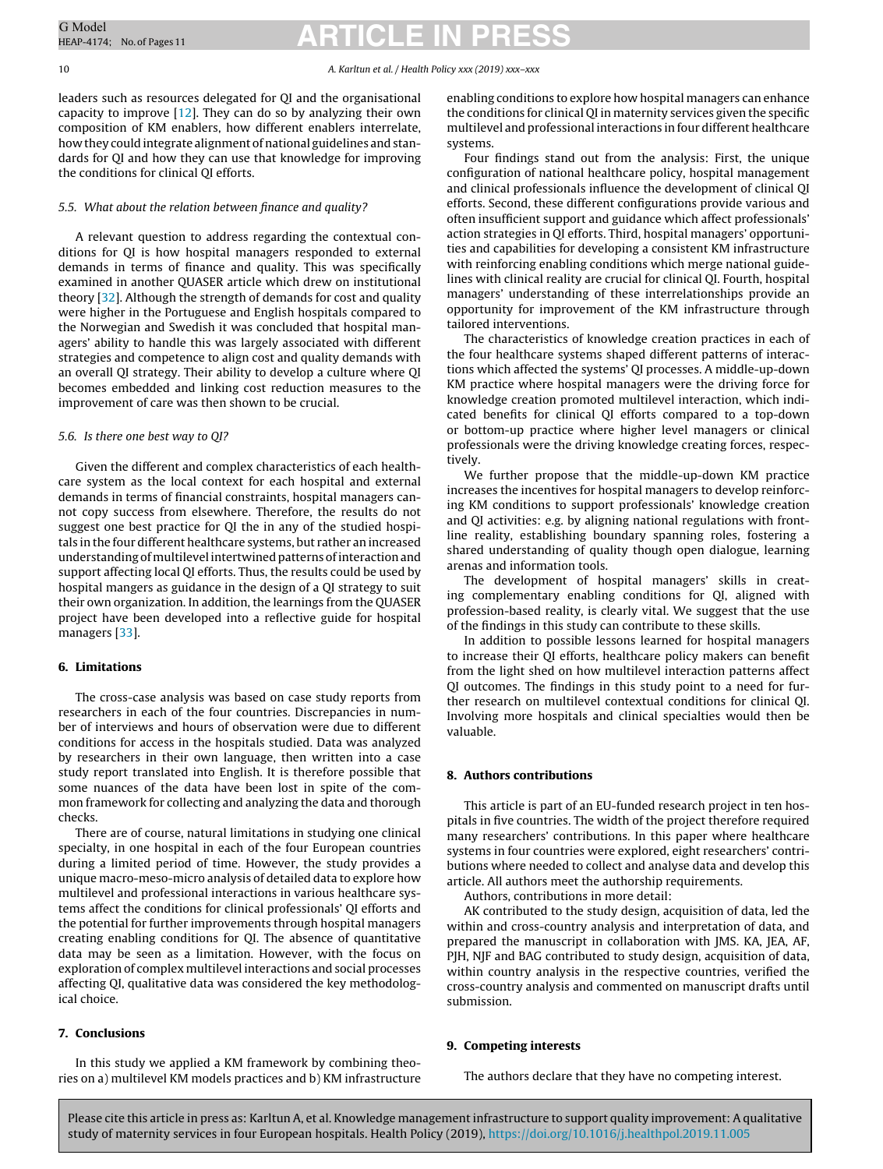#### 10 A. Karltun et al. / Health Policy xxx (2019) xxx–xxx

leaders such as resources delegated for QI and the organisational capacity to improve  $[12]$ . They can do so by analyzing their own composition of KM enablers, how different enablers interrelate, how they could integrate alignment of national guidelines and standards for QI and how they can use that knowledge for improving the conditions for clinical QI efforts.

#### 5.5. What about the relation between finance and quality?

A relevant question to address regarding the contextual conditions for QI is how hospital managers responded to external demands in terms of finance and quality. This was specifically examined in another QUASER article which drew on institutional theory [[32\].](#page-10-0) Although the strength of demands for cost and quality were higher in the Portuguese and English hospitals compared to the Norwegian and Swedish it was concluded that hospital managers' ability to handle this was largely associated with different strategies and competence to align cost and quality demands with an overall QI strategy. Their ability to develop a culture where QI becomes embedded and linking cost reduction measures to the improvement of care was then shown to be crucial.

#### 5.6. Is there one best way to QI?

Given the different and complex characteristics of each healthcare system as the local context for each hospital and external demands in terms of financial constraints, hospital managers cannot copy success from elsewhere. Therefore, the results do not suggest one best practice for QI the in any of the studied hospitals in the four different healthcare systems, but rather an increased understanding of multilevel intertwined patterns of interaction and support affecting local QI efforts. Thus, the results could be used by hospital mangers as guidance in the design of a QI strategy to suit their own organization. In addition, the learnings from the QUASER project have been developed into a reflective guide for hospital managers [\[33\].](#page-10-0)

#### **6. Limitations**

The cross-case analysis was based on case study reports from researchers in each of the four countries. Discrepancies in number of interviews and hours of observation were due to different conditions for access in the hospitals studied. Data was analyzed by researchers in their own language, then written into a case study report translated into English. It is therefore possible that some nuances of the data have been lost in spite of the common framework for collecting and analyzing the data and thorough checks.

There are of course, natural limitations in studying one clinical specialty, in one hospital in each of the four European countries during a limited period of time. However, the study provides a unique macro-meso-micro analysis of detailed data to explore how multilevel and professional interactions in various healthcare systems affect the conditions for clinical professionals' QI efforts and the potential for further improvements through hospital managers creating enabling conditions for QI. The absence of quantitative data may be seen as a limitation. However, with the focus on exploration of complex multilevel interactions and social processes affecting QI, qualitative data was considered the key methodological choice.

#### **7. Conclusions**

In this study we applied a KM framework by combining theories on a) multilevel KM models practices and b) KM infrastructure enabling conditions to explore how hospital managers can enhance the conditions for clinical QI in maternity services given the specific multilevel and professional interactions in four different healthcare systems.

Four findings stand out from the analysis: First, the unique configuration of national healthcare policy, hospital management and clinical professionals influence the development of clinical QI efforts. Second, these different configurations provide various and often insufficient support and guidance which affect professionals' action strategies in QI efforts. Third, hospital managers' opportunities and capabilities for developing a consistent KM infrastructure with reinforcing enabling conditions which merge national guidelines with clinical reality are crucial for clinical QI. Fourth, hospital managers' understanding of these interrelationships provide an opportunity for improvement of the KM infrastructure through tailored interventions.

The characteristics of knowledge creation practices in each of the four healthcare systems shaped different patterns of interactions which affected the systems' QI processes. A middle-up-down KM practice where hospital managers were the driving force for knowledge creation promoted multilevel interaction, which indicated benefits for clinical QI efforts compared to a top-down or bottom-up practice where higher level managers or clinical professionals were the driving knowledge creating forces, respectively.

We further propose that the middle-up-down KM practice increases the incentives for hospital managers to develop reinforcing KM conditions to support professionals' knowledge creation and QI activities: e.g. by aligning national regulations with frontline reality, establishing boundary spanning roles, fostering a shared understanding of quality though open dialogue, learning arenas and information tools.

The development of hospital managers' skills in creating complementary enabling conditions for QI, aligned with profession-based reality, is clearly vital. We suggest that the use of the findings in this study can contribute to these skills.

In addition to possible lessons learned for hospital managers to increase their QI efforts, healthcare policy makers can benefit from the light shed on how multilevel interaction patterns affect QI outcomes. The findings in this study point to a need for further research on multilevel contextual conditions for clinical QI. Involving more hospitals and clinical specialties would then be valuable.

#### **8. Authors contributions**

This article is part of an EU-funded research project in ten hospitals in five countries. The width of the project therefore required many researchers' contributions. In this paper where healthcare systems in four countries were explored, eight researchers' contributions where needed to collect and analyse data and develop this article. All authors meet the authorship requirements.

Authors, contributions in more detail:

AK contributed to the study design, acquisition of data, led the within and cross-country analysis and interpretation of data, and prepared the manuscript in collaboration with JMS. KA, JEA, AF, PJH, NJF and BAG contributed to study design, acquisition of data, within country analysis in the respective countries, verified the cross-country analysis and commented on manuscript drafts until submission.

#### **9. Competing interests**

The authors declare that they have no competing interest.